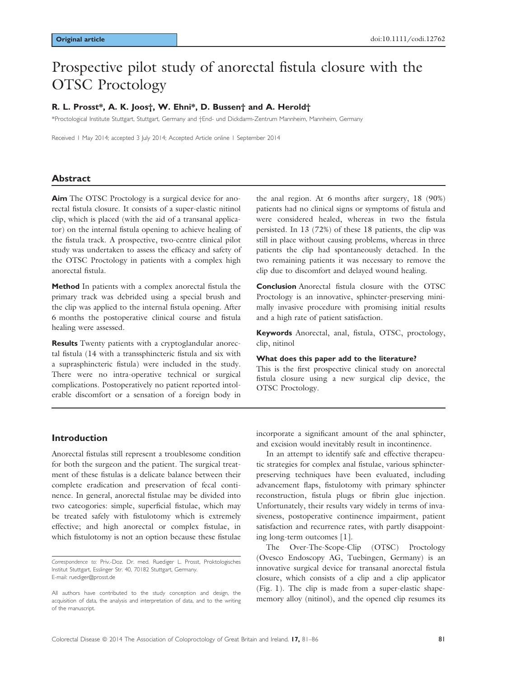# Prospective pilot study of anorectal fistula closure with the OTSC Proctology

#### R. L. Prosst\*, A. K. Joos†, W. Ehni\*, D. Bussen† and A. Herold†

\*Proctological Institute Stuttgart, Stuttgart, Germany and †End- und Dickdarm-Zentrum Mannheim, Mannheim, Germany

Received 1 May 2014; accepted 3 July 2014; Accepted Article online 1 September 2014

#### Abstract

Aim The OTSC Proctology is a surgical device for anorectal fistula closure. It consists of a super-elastic nitinol clip, which is placed (with the aid of a transanal applicator) on the internal fistula opening to achieve healing of the fistula track. A prospective, two-centre clinical pilot study was undertaken to assess the efficacy and safety of the OTSC Proctology in patients with a complex high anorectal fistula.

Method In patients with a complex anorectal fistula the primary track was debrided using a special brush and the clip was applied to the internal fistula opening. After 6 months the postoperative clinical course and fistula healing were assessed.

Results Twenty patients with a cryptoglandular anorectal fistula (14 with a transsphincteric fistula and six with a suprasphincteric fistula) were included in the study. There were no intra-operative technical or surgical complications. Postoperatively no patient reported intolerable discomfort or a sensation of a foreign body in the anal region. At 6 months after surgery, 18 (90%) patients had no clinical signs or symptoms of fistula and were considered healed, whereas in two the fistula persisted. In 13 (72%) of these 18 patients, the clip was still in place without causing problems, whereas in three patients the clip had spontaneously detached. In the two remaining patients it was necessary to remove the clip due to discomfort and delayed wound healing.

Conclusion Anorectal fistula closure with the OTSC Proctology is an innovative, sphincter-preserving minimally invasive procedure with promising initial results and a high rate of patient satisfaction.

Keywords Anorectal, anal, fistula, OTSC, proctology, clip, nitinol

#### What does this paper add to the literature?

This is the first prospective clinical study on anorectal fistula closure using a new surgical clip device, the OTSC Proctology.

#### Introduction

Anorectal fistulas still represent a troublesome condition for both the surgeon and the patient. The surgical treatment of these fistulas is a delicate balance between their complete eradication and preservation of fecal continence. In general, anorectal fistulae may be divided into two cateogories: simple, superficial fistulae, which may be treated safely with fistulotomy which is extremely effective; and high anorectal or complex fistulae, in which fistulotomy is not an option because these fistulae

incorporate a significant amount of the anal sphincter, and excision would inevitably result in incontinence.

In an attempt to identify safe and effective therapeutic strategies for complex anal fistulae, various sphincterpreserving techniques have been evaluated, including advancement flaps, fistulotomy with primary sphincter reconstruction, fistula plugs or fibrin glue injection. Unfortunately, their results vary widely in terms of invasiveness, postoperative continence impairment, patient satisfaction and recurrence rates, with partly disappointing long-term outcomes [1].

The Over-The-Scope-Clip (OTSC) Proctology (Ovesco Endoscopy AG, Tuebingen, Germany) is an innovative surgical device for transanal anorectal fistula closure, which consists of a clip and a clip applicator (Fig. 1). The clip is made from a super-elastic shapememory alloy (nitinol), and the opened clip resumes its

Correspondence to: Priv.-Doz. Dr. med. Ruediger L. Prosst, Proktologisches Institut Stuttgart, Esslinger Str. 40, 70182 Stuttgart, Germany. E-mail: ruediger@prosst.de

All authors have contributed to the study conception and design, the acquisition of data, the analysis and interpretation of data, and to the writing of the manuscript.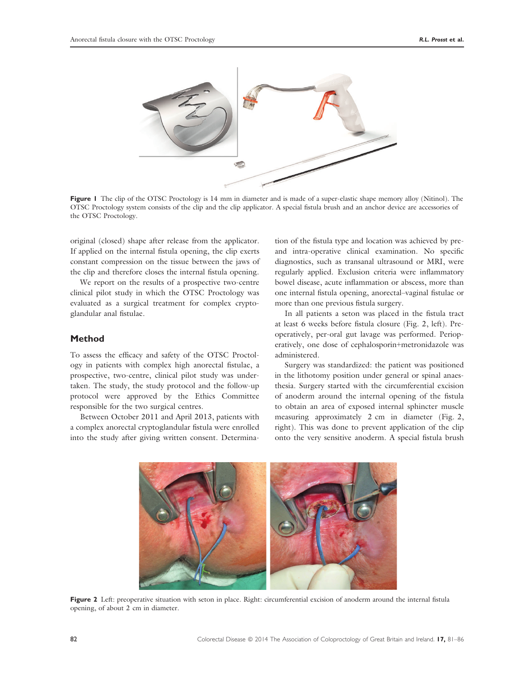

Figure 1 The clip of the OTSC Proctology is 14 mm in diameter and is made of a super-elastic shape memory alloy (Nitinol). The OTSC Proctology system consists of the clip and the clip applicator. A special fistula brush and an anchor device are accessories of the OTSC Proctology.

original (closed) shape after release from the applicator. If applied on the internal fistula opening, the clip exerts constant compression on the tissue between the jaws of the clip and therefore closes the internal fistula opening.

We report on the results of a prospective two-centre clinical pilot study in which the OTSC Proctology was evaluated as a surgical treatment for complex cryptoglandular anal fistulae.

#### Method

To assess the efficacy and safety of the OTSC Proctology in patients with complex high anorectal fistulae, a prospective, two-centre, clinical pilot study was undertaken. The study, the study protocol and the follow-up protocol were approved by the Ethics Committee responsible for the two surgical centres.

Between October 2011 and April 2013, patients with a complex anorectal cryptoglandular fistula were enrolled into the study after giving written consent. Determination of the fistula type and location was achieved by preand intra-operative clinical examination. No specific diagnostics, such as transanal ultrasound or MRI, were regularly applied. Exclusion criteria were inflammatory bowel disease, acute inflammation or abscess, more than one internal fistula opening, anorectal–vaginal fistulae or more than one previous fistula surgery.

In all patients a seton was placed in the fistula tract at least 6 weeks before fistula closure (Fig. 2, left). Preoperatively, per-oral gut lavage was performed. Perioperatively, one dose of cephalosporin+metronidazole was administered.

Surgery was standardized: the patient was positioned in the lithotomy position under general or spinal anaesthesia. Surgery started with the circumferential excision of anoderm around the internal opening of the fistula to obtain an area of exposed internal sphincter muscle measuring approximately 2 cm in diameter (Fig. 2, right). This was done to prevent application of the clip onto the very sensitive anoderm. A special fistula brush



Figure 2 Left: preoperative situation with seton in place. Right: circumferential excision of anoderm around the internal fistula opening, of about 2 cm in diameter.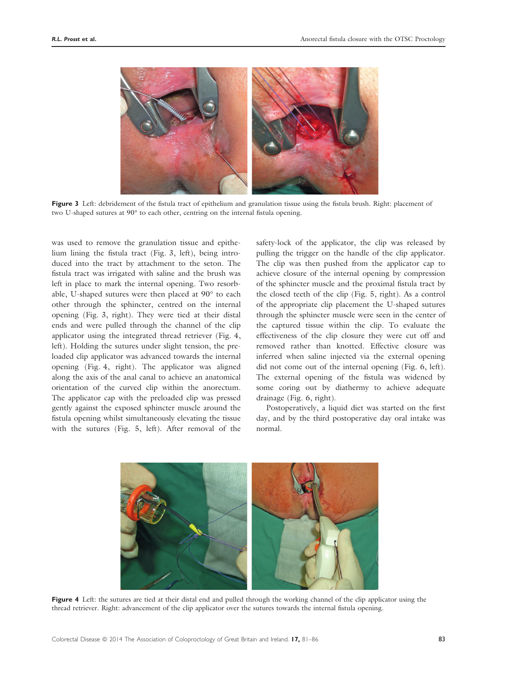

Figure 3 Left: debridement of the fistula tract of epithelium and granulation tissue using the fistula brush. Right: placement of two U-shaped sutures at 90° to each other, centring on the internal fistula opening.

was used to remove the granulation tissue and epithelium lining the fistula tract (Fig. 3, left), being introduced into the tract by attachment to the seton. The fistula tract was irrigated with saline and the brush was left in place to mark the internal opening. Two resorbable, U-shaped sutures were then placed at 90° to each other through the sphincter, centred on the internal opening (Fig. 3, right). They were tied at their distal ends and were pulled through the channel of the clip applicator using the integrated thread retriever (Fig. 4, left). Holding the sutures under slight tension, the preloaded clip applicator was advanced towards the internal opening (Fig. 4, right). The applicator was aligned along the axis of the anal canal to achieve an anatomical orientation of the curved clip within the anorectum. The applicator cap with the preloaded clip was pressed gently against the exposed sphincter muscle around the fistula opening whilst simultaneously elevating the tissue with the sutures (Fig. 5, left). After removal of the safety-lock of the applicator, the clip was released by pulling the trigger on the handle of the clip applicator. The clip was then pushed from the applicator cap to achieve closure of the internal opening by compression of the sphincter muscle and the proximal fistula tract by the closed teeth of the clip (Fig. 5, right). As a control of the appropriate clip placement the U-shaped sutures through the sphincter muscle were seen in the center of the captured tissue within the clip. To evaluate the effectiveness of the clip closure they were cut off and removed rather than knotted. Effective closure was inferred when saline injected via the external opening did not come out of the internal opening (Fig. 6, left). The external opening of the fistula was widened by some coring out by diathermy to achieve adequate drainage (Fig. 6, right).

Postoperatively, a liquid diet was started on the first day, and by the third postoperative day oral intake was normal.



Figure 4 Left: the sutures are tied at their distal end and pulled through the working channel of the clip applicator using the thread retriever. Right: advancement of the clip applicator over the sutures towards the internal fistula opening.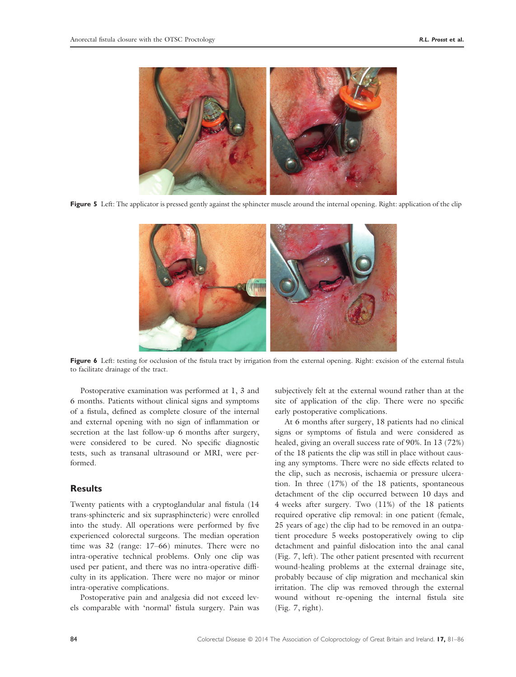

Figure 5 Left: The applicator is pressed gently against the sphincter muscle around the internal opening. Right: application of the clip



Figure 6 Left: testing for occlusion of the fistula tract by irrigation from the external opening. Right: excision of the external fistula to facilitate drainage of the tract.

Postoperative examination was performed at 1, 3 and 6 months. Patients without clinical signs and symptoms of a fistula, defined as complete closure of the internal and external opening with no sign of inflammation or secretion at the last follow-up 6 months after surgery, were considered to be cured. No specific diagnostic tests, such as transanal ultrasound or MRI, were performed.

#### **Results**

Twenty patients with a cryptoglandular anal fistula (14 trans-sphincteric and six suprasphincteric) were enrolled into the study. All operations were performed by five experienced colorectal surgeons. The median operation time was 32 (range: 17–66) minutes. There were no intra-operative technical problems. Only one clip was used per patient, and there was no intra-operative difficulty in its application. There were no major or minor intra-operative complications.

Postoperative pain and analgesia did not exceed levels comparable with 'normal' fistula surgery. Pain was subjectively felt at the external wound rather than at the site of application of the clip. There were no specific early postoperative complications.

At 6 months after surgery, 18 patients had no clinical signs or symptoms of fistula and were considered as healed, giving an overall success rate of 90%. In 13 (72%) of the 18 patients the clip was still in place without causing any symptoms. There were no side effects related to the clip, such as necrosis, ischaemia or pressure ulceration. In three (17%) of the 18 patients, spontaneous detachment of the clip occurred between 10 days and 4 weeks after surgery. Two (11%) of the 18 patients required operative clip removal: in one patient (female, 25 years of age) the clip had to be removed in an outpatient procedure 5 weeks postoperatively owing to clip detachment and painful dislocation into the anal canal (Fig. 7, left). The other patient presented with recurrent wound-healing problems at the external drainage site, probably because of clip migration and mechanical skin irritation. The clip was removed through the external wound without re-opening the internal fistula site (Fig. 7, right).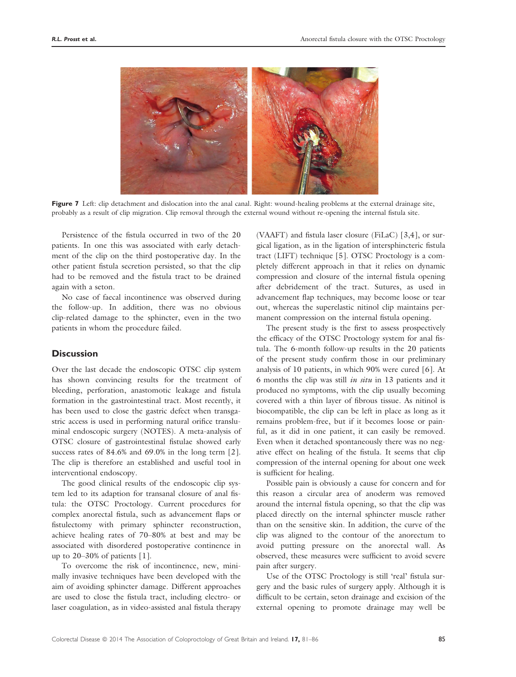

Figure 7 Left: clip detachment and dislocation into the anal canal. Right: wound-healing problems at the external drainage site, probably as a result of clip migration. Clip removal through the external wound without re-opening the internal fistula site.

Persistence of the fistula occurred in two of the 20 patients. In one this was associated with early detachment of the clip on the third postoperative day. In the other patient fistula secretion persisted, so that the clip had to be removed and the fistula tract to be drained again with a seton.

No case of faecal incontinence was observed during the follow-up. In addition, there was no obvious clip-related damage to the sphincter, even in the two patients in whom the procedure failed.

#### **Discussion**

Over the last decade the endoscopic OTSC clip system has shown convincing results for the treatment of bleeding, perforation, anastomotic leakage and fistula formation in the gastrointestinal tract. Most recently, it has been used to close the gastric defect when transgastric access is used in performing natural orifice transluminal endoscopic surgery (NOTES). A meta-analysis of OTSC closure of gastrointestinal fistulae showed early success rates of 84.6% and 69.0% in the long term [2]. The clip is therefore an established and useful tool in interventional endoscopy.

The good clinical results of the endoscopic clip system led to its adaption for transanal closure of anal fistula: the OTSC Proctology. Current procedures for complex anorectal fistula, such as advancement flaps or fistulectomy with primary sphincter reconstruction, achieve healing rates of 70–80% at best and may be associated with disordered postoperative continence in up to 20–30% of patients [1].

To overcome the risk of incontinence, new, minimally invasive techniques have been developed with the aim of avoiding sphincter damage. Different approaches are used to close the fistula tract, including electro- or laser coagulation, as in video-assisted anal fistula therapy (VAAFT) and fistula laser closure (FiLaC) [3,4], or surgical ligation, as in the ligation of intersphincteric fistula tract (LIFT) technique [5]. OTSC Proctology is a completely different approach in that it relies on dynamic compression and closure of the internal fistula opening after debridement of the tract. Sutures, as used in advancement flap techniques, may become loose or tear out, whereas the superelastic nitinol clip maintains permanent compression on the internal fistula opening.

The present study is the first to assess prospectively the efficacy of the OTSC Proctology system for anal fistula. The 6-month follow-up results in the 20 patients of the present study confirm those in our preliminary analysis of 10 patients, in which 90% were cured [6]. At 6 months the clip was still in situ in 13 patients and it produced no symptoms, with the clip usually becoming covered with a thin layer of fibrous tissue. As nitinol is biocompatible, the clip can be left in place as long as it remains problem-free, but if it becomes loose or painful, as it did in one patient, it can easily be removed. Even when it detached spontaneously there was no negative effect on healing of the fistula. It seems that clip compression of the internal opening for about one week is sufficient for healing.

Possible pain is obviously a cause for concern and for this reason a circular area of anoderm was removed around the internal fistula opening, so that the clip was placed directly on the internal sphincter muscle rather than on the sensitive skin. In addition, the curve of the clip was aligned to the contour of the anorectum to avoid putting pressure on the anorectal wall. As observed, these measures were sufficient to avoid severe pain after surgery.

Use of the OTSC Proctology is still 'real' fistula surgery and the basic rules of surgery apply. Although it is difficult to be certain, seton drainage and excision of the external opening to promote drainage may well be